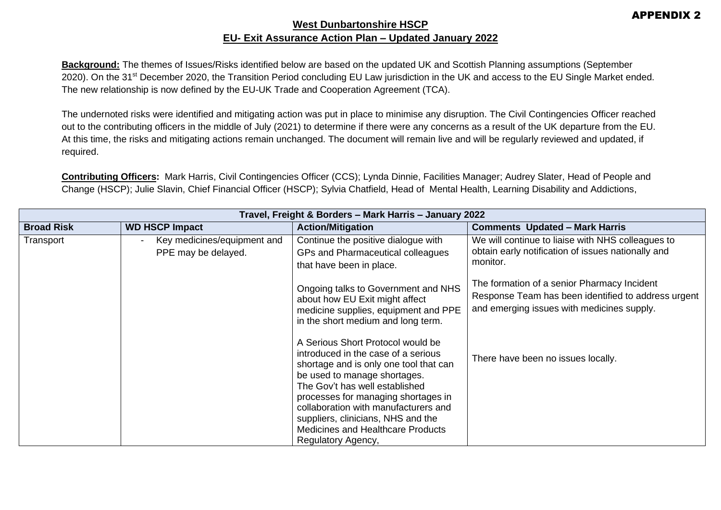## **West Dunbartonshire HSCP EU- Exit Assurance Action Plan – Updated January 2022**

**Background:** The themes of Issues/Risks identified below are based on the updated UK and Scottish Planning assumptions (September 2020). On the 31<sup>st</sup> December 2020, the Transition Period concluding EU Law jurisdiction in the UK and access to the EU Single Market ended. The new relationship is now defined by the EU-UK Trade and Cooperation Agreement (TCA).

The undernoted risks were identified and mitigating action was put in place to minimise any disruption. The Civil Contingencies Officer reached out to the contributing officers in the middle of July (2021) to determine if there were any concerns as a result of the UK departure from the EU. At this time, the risks and mitigating actions remain unchanged. The document will remain live and will be regularly reviewed and updated, if required.

**Contributing Officers:** Mark Harris, Civil Contingencies Officer (CCS); Lynda Dinnie, Facilities Manager; Audrey Slater, Head of People and Change (HSCP); Julie Slavin, Chief Financial Officer (HSCP); Sylvia Chatfield, Head of Mental Health, Learning Disability and Addictions,

| Travel, Freight & Borders - Mark Harris - January 2022 |                                                    |                                                                                                                                                                                                                                                                                                                                                       |                                                                                                                                                  |  |
|--------------------------------------------------------|----------------------------------------------------|-------------------------------------------------------------------------------------------------------------------------------------------------------------------------------------------------------------------------------------------------------------------------------------------------------------------------------------------------------|--------------------------------------------------------------------------------------------------------------------------------------------------|--|
| <b>Broad Risk</b>                                      | <b>WD HSCP Impact</b>                              | <b>Action/Mitigation</b>                                                                                                                                                                                                                                                                                                                              | <b>Comments Updated - Mark Harris</b>                                                                                                            |  |
| Transport                                              | Key medicines/equipment and<br>PPE may be delayed. | Continue the positive dialogue with<br>GPs and Pharmaceutical colleagues<br>that have been in place.                                                                                                                                                                                                                                                  | We will continue to liaise with NHS colleagues to<br>obtain early notification of issues nationally and<br>monitor.                              |  |
|                                                        |                                                    | Ongoing talks to Government and NHS<br>about how EU Exit might affect<br>medicine supplies, equipment and PPE<br>in the short medium and long term.                                                                                                                                                                                                   | The formation of a senior Pharmacy Incident<br>Response Team has been identified to address urgent<br>and emerging issues with medicines supply. |  |
|                                                        |                                                    | A Serious Short Protocol would be<br>introduced in the case of a serious<br>shortage and is only one tool that can<br>be used to manage shortages.<br>The Gov't has well established<br>processes for managing shortages in<br>collaboration with manufacturers and<br>suppliers, clinicians, NHS and the<br><b>Medicines and Healthcare Products</b> | There have been no issues locally.                                                                                                               |  |
|                                                        |                                                    | Regulatory Agency,                                                                                                                                                                                                                                                                                                                                    |                                                                                                                                                  |  |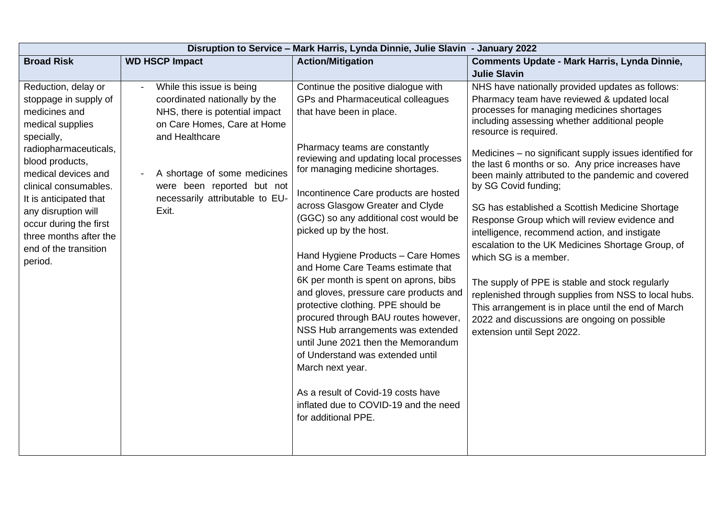| Disruption to Service - Mark Harris, Lynda Dinnie, Julie Slavin - January 2022                                                                                                                                                                                                                                                       |                                                                                                                                                                                                                                                         |                                                                                                                                                                                                                                                                                                                                                                                                                                                                                                                                                                                                                                                                                                                                                                                                                                                           |                                                                                                                                                                                                                                                                                                                                                                                                                                                                                                                                                                                                                                                                                                                                                                                                                                                                                                          |  |
|--------------------------------------------------------------------------------------------------------------------------------------------------------------------------------------------------------------------------------------------------------------------------------------------------------------------------------------|---------------------------------------------------------------------------------------------------------------------------------------------------------------------------------------------------------------------------------------------------------|-----------------------------------------------------------------------------------------------------------------------------------------------------------------------------------------------------------------------------------------------------------------------------------------------------------------------------------------------------------------------------------------------------------------------------------------------------------------------------------------------------------------------------------------------------------------------------------------------------------------------------------------------------------------------------------------------------------------------------------------------------------------------------------------------------------------------------------------------------------|----------------------------------------------------------------------------------------------------------------------------------------------------------------------------------------------------------------------------------------------------------------------------------------------------------------------------------------------------------------------------------------------------------------------------------------------------------------------------------------------------------------------------------------------------------------------------------------------------------------------------------------------------------------------------------------------------------------------------------------------------------------------------------------------------------------------------------------------------------------------------------------------------------|--|
| <b>Broad Risk</b>                                                                                                                                                                                                                                                                                                                    | <b>WD HSCP Impact</b>                                                                                                                                                                                                                                   | <b>Action/Mitigation</b>                                                                                                                                                                                                                                                                                                                                                                                                                                                                                                                                                                                                                                                                                                                                                                                                                                  | Comments Update - Mark Harris, Lynda Dinnie,                                                                                                                                                                                                                                                                                                                                                                                                                                                                                                                                                                                                                                                                                                                                                                                                                                                             |  |
|                                                                                                                                                                                                                                                                                                                                      |                                                                                                                                                                                                                                                         |                                                                                                                                                                                                                                                                                                                                                                                                                                                                                                                                                                                                                                                                                                                                                                                                                                                           | <b>Julie Slavin</b>                                                                                                                                                                                                                                                                                                                                                                                                                                                                                                                                                                                                                                                                                                                                                                                                                                                                                      |  |
| Reduction, delay or<br>stoppage in supply of<br>medicines and<br>medical supplies<br>specially,<br>radiopharmaceuticals,<br>blood products,<br>medical devices and<br>clinical consumables.<br>It is anticipated that<br>any disruption will<br>occur during the first<br>three months after the<br>end of the transition<br>period. | While this issue is being<br>coordinated nationally by the<br>NHS, there is potential impact<br>on Care Homes, Care at Home<br>and Healthcare<br>A shortage of some medicines<br>were been reported but not<br>necessarily attributable to EU-<br>Exit. | Continue the positive dialogue with<br>GPs and Pharmaceutical colleagues<br>that have been in place.<br>Pharmacy teams are constantly<br>reviewing and updating local processes<br>for managing medicine shortages.<br>Incontinence Care products are hosted<br>across Glasgow Greater and Clyde<br>(GGC) so any additional cost would be<br>picked up by the host.<br>Hand Hygiene Products - Care Homes<br>and Home Care Teams estimate that<br>6K per month is spent on aprons, bibs<br>and gloves, pressure care products and<br>protective clothing. PPE should be<br>procured through BAU routes however,<br>NSS Hub arrangements was extended<br>until June 2021 then the Memorandum<br>of Understand was extended until<br>March next year.<br>As a result of Covid-19 costs have<br>inflated due to COVID-19 and the need<br>for additional PPE. | NHS have nationally provided updates as follows:<br>Pharmacy team have reviewed & updated local<br>processes for managing medicines shortages<br>including assessing whether additional people<br>resource is required.<br>Medicines – no significant supply issues identified for<br>the last 6 months or so. Any price increases have<br>been mainly attributed to the pandemic and covered<br>by SG Covid funding;<br>SG has established a Scottish Medicine Shortage<br>Response Group which will review evidence and<br>intelligence, recommend action, and instigate<br>escalation to the UK Medicines Shortage Group, of<br>which SG is a member.<br>The supply of PPE is stable and stock regularly<br>replenished through supplies from NSS to local hubs.<br>This arrangement is in place until the end of March<br>2022 and discussions are ongoing on possible<br>extension until Sept 2022. |  |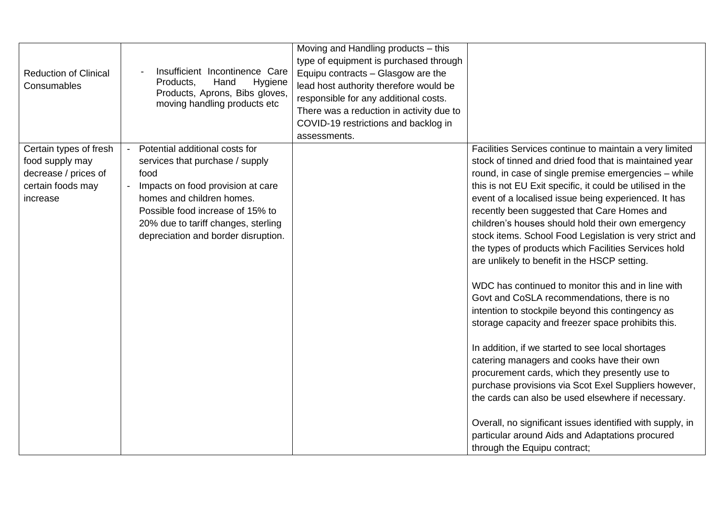| <b>Reduction of Clinical</b><br>Consumables                                                        | Insufficient Incontinence Care<br>Products,<br>Hand<br>Hygiene<br>Products, Aprons, Bibs gloves,<br>moving handling products etc                                                                                                                              | Moving and Handling products – this<br>type of equipment is purchased through<br>Equipu contracts - Glasgow are the<br>lead host authority therefore would be<br>responsible for any additional costs.<br>There was a reduction in activity due to<br>COVID-19 restrictions and backlog in<br>assessments. |                                                                                                                                                                                                                                                                                                                                                                                                                                                                                                                                                                                                                                                                                                                                                                                                                                                                                                                                                                                                                                                                                                                                                                                                          |
|----------------------------------------------------------------------------------------------------|---------------------------------------------------------------------------------------------------------------------------------------------------------------------------------------------------------------------------------------------------------------|------------------------------------------------------------------------------------------------------------------------------------------------------------------------------------------------------------------------------------------------------------------------------------------------------------|----------------------------------------------------------------------------------------------------------------------------------------------------------------------------------------------------------------------------------------------------------------------------------------------------------------------------------------------------------------------------------------------------------------------------------------------------------------------------------------------------------------------------------------------------------------------------------------------------------------------------------------------------------------------------------------------------------------------------------------------------------------------------------------------------------------------------------------------------------------------------------------------------------------------------------------------------------------------------------------------------------------------------------------------------------------------------------------------------------------------------------------------------------------------------------------------------------|
| Certain types of fresh<br>food supply may<br>decrease / prices of<br>certain foods may<br>increase | Potential additional costs for<br>services that purchase / supply<br>food<br>Impacts on food provision at care<br>homes and children homes.<br>Possible food increase of 15% to<br>20% due to tariff changes, sterling<br>depreciation and border disruption. |                                                                                                                                                                                                                                                                                                            | Facilities Services continue to maintain a very limited<br>stock of tinned and dried food that is maintained year<br>round, in case of single premise emergencies - while<br>this is not EU Exit specific, it could be utilised in the<br>event of a localised issue being experienced. It has<br>recently been suggested that Care Homes and<br>children's houses should hold their own emergency<br>stock items. School Food Legislation is very strict and<br>the types of products which Facilities Services hold<br>are unlikely to benefit in the HSCP setting.<br>WDC has continued to monitor this and in line with<br>Govt and CoSLA recommendations, there is no<br>intention to stockpile beyond this contingency as<br>storage capacity and freezer space prohibits this.<br>In addition, if we started to see local shortages<br>catering managers and cooks have their own<br>procurement cards, which they presently use to<br>purchase provisions via Scot Exel Suppliers however,<br>the cards can also be used elsewhere if necessary.<br>Overall, no significant issues identified with supply, in<br>particular around Aids and Adaptations procured<br>through the Equipu contract; |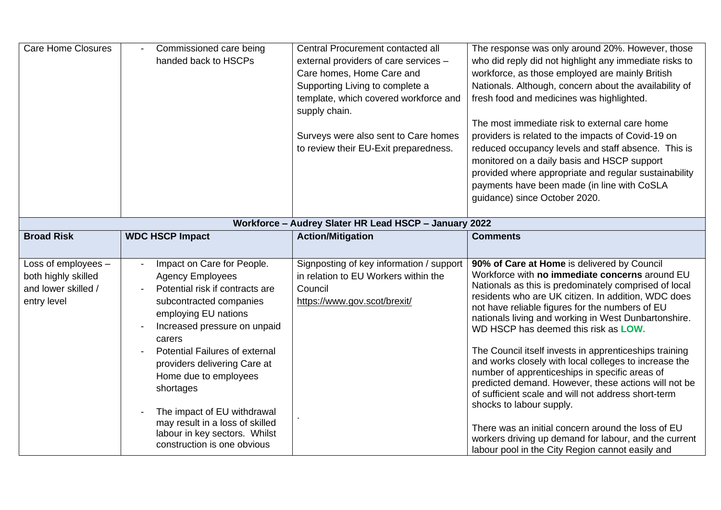| <b>Care Home Closures</b>                                                        | Commissioned care being<br>handed back to HSCPs                                                                                                                                                                                                                                                                                                                                                                                        | <b>Central Procurement contacted all</b><br>external providers of care services -<br>Care homes, Home Care and<br>Supporting Living to complete a<br>template, which covered workforce and<br>supply chain.<br>Surveys were also sent to Care homes<br>to review their EU-Exit preparedness. | The response was only around 20%. However, those<br>who did reply did not highlight any immediate risks to<br>workforce, as those employed are mainly British<br>Nationals. Although, concern about the availability of<br>fresh food and medicines was highlighted.<br>The most immediate risk to external care home<br>providers is related to the impacts of Covid-19 on<br>reduced occupancy levels and staff absence. This is<br>monitored on a daily basis and HSCP support<br>provided where appropriate and regular sustainability<br>payments have been made (in line with CoSLA<br>guidance) since October 2020.                                                                                                                                                                                                                                 |
|----------------------------------------------------------------------------------|----------------------------------------------------------------------------------------------------------------------------------------------------------------------------------------------------------------------------------------------------------------------------------------------------------------------------------------------------------------------------------------------------------------------------------------|----------------------------------------------------------------------------------------------------------------------------------------------------------------------------------------------------------------------------------------------------------------------------------------------|------------------------------------------------------------------------------------------------------------------------------------------------------------------------------------------------------------------------------------------------------------------------------------------------------------------------------------------------------------------------------------------------------------------------------------------------------------------------------------------------------------------------------------------------------------------------------------------------------------------------------------------------------------------------------------------------------------------------------------------------------------------------------------------------------------------------------------------------------------|
|                                                                                  |                                                                                                                                                                                                                                                                                                                                                                                                                                        | Workforce - Audrey Slater HR Lead HSCP - January 2022                                                                                                                                                                                                                                        |                                                                                                                                                                                                                                                                                                                                                                                                                                                                                                                                                                                                                                                                                                                                                                                                                                                            |
| <b>Broad Risk</b>                                                                | <b>WDC HSCP Impact</b>                                                                                                                                                                                                                                                                                                                                                                                                                 | <b>Action/Mitigation</b>                                                                                                                                                                                                                                                                     | <b>Comments</b>                                                                                                                                                                                                                                                                                                                                                                                                                                                                                                                                                                                                                                                                                                                                                                                                                                            |
| Loss of employees -<br>both highly skilled<br>and lower skilled /<br>entry level | Impact on Care for People.<br><b>Agency Employees</b><br>Potential risk if contracts are<br>subcontracted companies<br>employing EU nations<br>Increased pressure on unpaid<br>carers<br><b>Potential Failures of external</b><br>providers delivering Care at<br>Home due to employees<br>shortages<br>The impact of EU withdrawal<br>may result in a loss of skilled<br>labour in key sectors. Whilst<br>construction is one obvious | Signposting of key information / support<br>in relation to EU Workers within the<br>Council<br>https://www.gov.scot/brexit/                                                                                                                                                                  | 90% of Care at Home is delivered by Council<br>Workforce with no immediate concerns around EU<br>Nationals as this is predominately comprised of local<br>residents who are UK citizen. In addition, WDC does<br>not have reliable figures for the numbers of EU<br>nationals living and working in West Dunbartonshire.<br>WD HSCP has deemed this risk as <b>LOW.</b><br>The Council itself invests in apprenticeships training<br>and works closely with local colleges to increase the<br>number of apprenticeships in specific areas of<br>predicted demand. However, these actions will not be<br>of sufficient scale and will not address short-term<br>shocks to labour supply.<br>There was an initial concern around the loss of EU<br>workers driving up demand for labour, and the current<br>labour pool in the City Region cannot easily and |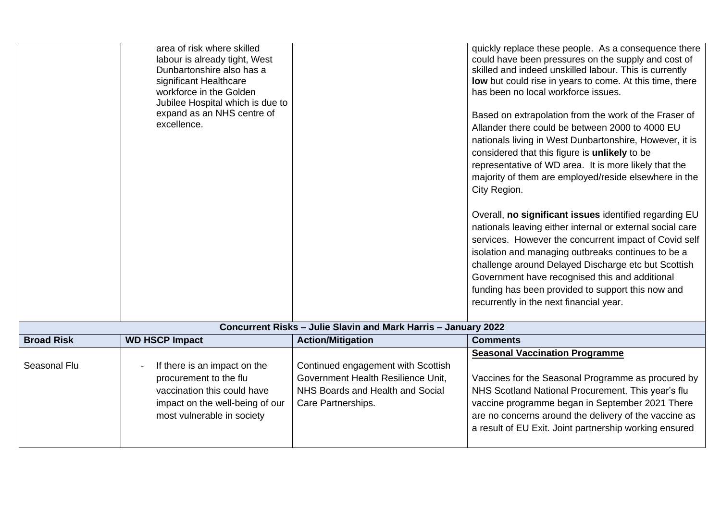|                                                                | area of risk where skilled<br>labour is already tight, West<br>Dunbartonshire also has a<br>significant Healthcare<br>workforce in the Golden<br>Jubilee Hospital which is due to<br>expand as an NHS centre of<br>excellence. |                                                                                                                                    | quickly replace these people. As a consequence there<br>could have been pressures on the supply and cost of<br>skilled and indeed unskilled labour. This is currently<br>low but could rise in years to come. At this time, there<br>has been no local workforce issues.<br>Based on extrapolation from the work of the Fraser of<br>Allander there could be between 2000 to 4000 EU<br>nationals living in West Dunbartonshire, However, it is<br>considered that this figure is unlikely to be<br>representative of WD area. It is more likely that the<br>majority of them are employed/reside elsewhere in the<br>City Region.<br>Overall, no significant issues identified regarding EU<br>nationals leaving either internal or external social care<br>services. However the concurrent impact of Covid self<br>isolation and managing outbreaks continues to be a<br>challenge around Delayed Discharge etc but Scottish<br>Government have recognised this and additional<br>funding has been provided to support this now and<br>recurrently in the next financial year. |  |
|----------------------------------------------------------------|--------------------------------------------------------------------------------------------------------------------------------------------------------------------------------------------------------------------------------|------------------------------------------------------------------------------------------------------------------------------------|-----------------------------------------------------------------------------------------------------------------------------------------------------------------------------------------------------------------------------------------------------------------------------------------------------------------------------------------------------------------------------------------------------------------------------------------------------------------------------------------------------------------------------------------------------------------------------------------------------------------------------------------------------------------------------------------------------------------------------------------------------------------------------------------------------------------------------------------------------------------------------------------------------------------------------------------------------------------------------------------------------------------------------------------------------------------------------------|--|
| Concurrent Risks - Julie Slavin and Mark Harris - January 2022 |                                                                                                                                                                                                                                |                                                                                                                                    |                                                                                                                                                                                                                                                                                                                                                                                                                                                                                                                                                                                                                                                                                                                                                                                                                                                                                                                                                                                                                                                                                   |  |
| <b>Broad Risk</b>                                              | <b>WD HSCP Impact</b>                                                                                                                                                                                                          | <b>Action/Mitigation</b>                                                                                                           | <b>Comments</b>                                                                                                                                                                                                                                                                                                                                                                                                                                                                                                                                                                                                                                                                                                                                                                                                                                                                                                                                                                                                                                                                   |  |
| Seasonal Flu                                                   | If there is an impact on the<br>procurement to the flu<br>vaccination this could have<br>impact on the well-being of our<br>most vulnerable in society                                                                         | Continued engagement with Scottish<br>Government Health Resilience Unit,<br>NHS Boards and Health and Social<br>Care Partnerships. | <b>Seasonal Vaccination Programme</b><br>Vaccines for the Seasonal Programme as procured by<br>NHS Scotland National Procurement. This year's flu<br>vaccine programme began in September 2021 There<br>are no concerns around the delivery of the vaccine as<br>a result of EU Exit. Joint partnership working ensured                                                                                                                                                                                                                                                                                                                                                                                                                                                                                                                                                                                                                                                                                                                                                           |  |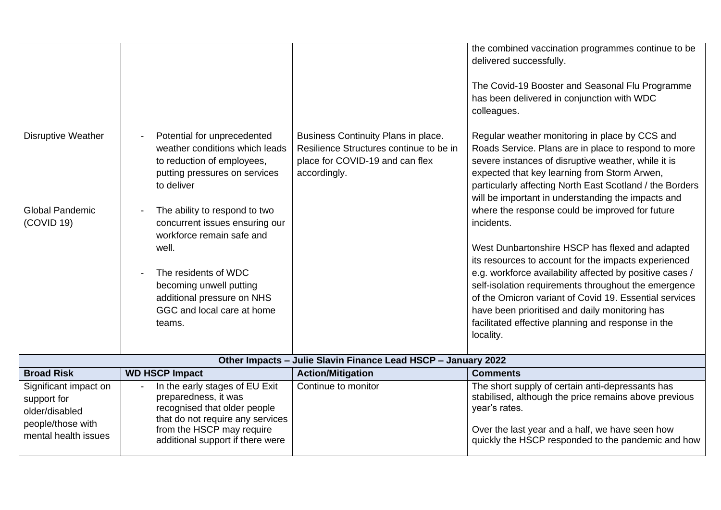|                                                               |                                                                                                                                            |                                                                                                                                   | the combined vaccination programmes continue to be<br>delivered successfully.<br>The Covid-19 Booster and Seasonal Flu Programme<br>has been delivered in conjunction with WDC                                                                                                                                                  |  |
|---------------------------------------------------------------|--------------------------------------------------------------------------------------------------------------------------------------------|-----------------------------------------------------------------------------------------------------------------------------------|---------------------------------------------------------------------------------------------------------------------------------------------------------------------------------------------------------------------------------------------------------------------------------------------------------------------------------|--|
|                                                               |                                                                                                                                            |                                                                                                                                   | colleagues.                                                                                                                                                                                                                                                                                                                     |  |
| <b>Disruptive Weather</b>                                     | Potential for unprecedented<br>weather conditions which leads<br>to reduction of employees,<br>putting pressures on services<br>to deliver | Business Continuity Plans in place.<br>Resilience Structures continue to be in<br>place for COVID-19 and can flex<br>accordingly. | Regular weather monitoring in place by CCS and<br>Roads Service. Plans are in place to respond to more<br>severe instances of disruptive weather, while it is<br>expected that key learning from Storm Arwen,<br>particularly affecting North East Scotland / the Borders<br>will be important in understanding the impacts and |  |
| <b>Global Pandemic</b><br>(COVID 19)                          | The ability to respond to two<br>concurrent issues ensuring our                                                                            |                                                                                                                                   | where the response could be improved for future<br>incidents.                                                                                                                                                                                                                                                                   |  |
|                                                               | workforce remain safe and                                                                                                                  |                                                                                                                                   |                                                                                                                                                                                                                                                                                                                                 |  |
|                                                               | well.                                                                                                                                      |                                                                                                                                   | West Dunbartonshire HSCP has flexed and adapted<br>its resources to account for the impacts experienced                                                                                                                                                                                                                         |  |
|                                                               | The residents of WDC                                                                                                                       |                                                                                                                                   | e.g. workforce availability affected by positive cases /                                                                                                                                                                                                                                                                        |  |
|                                                               | becoming unwell putting<br>additional pressure on NHS                                                                                      |                                                                                                                                   | self-isolation requirements throughout the emergence<br>of the Omicron variant of Covid 19. Essential services                                                                                                                                                                                                                  |  |
|                                                               | GGC and local care at home                                                                                                                 |                                                                                                                                   | have been prioritised and daily monitoring has                                                                                                                                                                                                                                                                                  |  |
|                                                               | teams.                                                                                                                                     |                                                                                                                                   | facilitated effective planning and response in the                                                                                                                                                                                                                                                                              |  |
|                                                               |                                                                                                                                            |                                                                                                                                   | locality.                                                                                                                                                                                                                                                                                                                       |  |
| Other Impacts - Julie Slavin Finance Lead HSCP - January 2022 |                                                                                                                                            |                                                                                                                                   |                                                                                                                                                                                                                                                                                                                                 |  |
| <b>Broad Risk</b>                                             | <b>WD HSCP Impact</b>                                                                                                                      | <b>Action/Mitigation</b>                                                                                                          | <b>Comments</b>                                                                                                                                                                                                                                                                                                                 |  |
| Significant impact on<br>support for<br>older/disabled        | In the early stages of EU Exit<br>preparedness, it was<br>recognised that older people                                                     | Continue to monitor                                                                                                               | The short supply of certain anti-depressants has<br>stabilised, although the price remains above previous<br>year's rates.                                                                                                                                                                                                      |  |
| people/those with<br>mental health issues                     | that do not require any services<br>from the HSCP may require<br>additional support if there were                                          |                                                                                                                                   | Over the last year and a half, we have seen how<br>quickly the HSCP responded to the pandemic and how                                                                                                                                                                                                                           |  |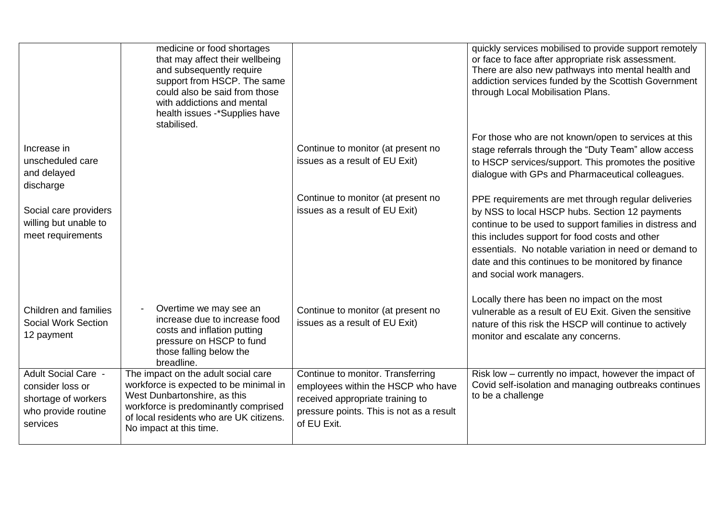|                                                                                                          | medicine or food shortages<br>that may affect their wellbeing<br>and subsequently require<br>support from HSCP. The same<br>could also be said from those<br>with addictions and mental<br>health issues -*Supplies have<br>stabilised. |                                                                                                                                                                        | quickly services mobilised to provide support remotely<br>or face to face after appropriate risk assessment.<br>There are also new pathways into mental health and<br>addiction services funded by the Scottish Government<br>through Local Mobilisation Plans.                                                                                                |
|----------------------------------------------------------------------------------------------------------|-----------------------------------------------------------------------------------------------------------------------------------------------------------------------------------------------------------------------------------------|------------------------------------------------------------------------------------------------------------------------------------------------------------------------|----------------------------------------------------------------------------------------------------------------------------------------------------------------------------------------------------------------------------------------------------------------------------------------------------------------------------------------------------------------|
| Increase in<br>unscheduled care<br>and delayed<br>discharge                                              |                                                                                                                                                                                                                                         | Continue to monitor (at present no<br>issues as a result of EU Exit)                                                                                                   | For those who are not known/open to services at this<br>stage referrals through the "Duty Team" allow access<br>to HSCP services/support. This promotes the positive<br>dialogue with GPs and Pharmaceutical colleagues.                                                                                                                                       |
| Social care providers<br>willing but unable to<br>meet requirements                                      |                                                                                                                                                                                                                                         | Continue to monitor (at present no<br>issues as a result of EU Exit)                                                                                                   | PPE requirements are met through regular deliveries<br>by NSS to local HSCP hubs. Section 12 payments<br>continue to be used to support families in distress and<br>this includes support for food costs and other<br>essentials. No notable variation in need or demand to<br>date and this continues to be monitored by finance<br>and social work managers. |
| Children and families<br><b>Social Work Section</b><br>12 payment                                        | Overtime we may see an<br>increase due to increase food<br>costs and inflation putting<br>pressure on HSCP to fund<br>those falling below the<br>breadline.                                                                             | Continue to monitor (at present no<br>issues as a result of EU Exit)                                                                                                   | Locally there has been no impact on the most<br>vulnerable as a result of EU Exit. Given the sensitive<br>nature of this risk the HSCP will continue to actively<br>monitor and escalate any concerns.                                                                                                                                                         |
| <b>Adult Social Care -</b><br>consider loss or<br>shortage of workers<br>who provide routine<br>services | The impact on the adult social care<br>workforce is expected to be minimal in<br>West Dunbartonshire, as this<br>workforce is predominantly comprised<br>of local residents who are UK citizens.<br>No impact at this time.             | Continue to monitor. Transferring<br>employees within the HSCP who have<br>received appropriate training to<br>pressure points. This is not as a result<br>of EU Exit. | Risk low - currently no impact, however the impact of<br>Covid self-isolation and managing outbreaks continues<br>to be a challenge                                                                                                                                                                                                                            |